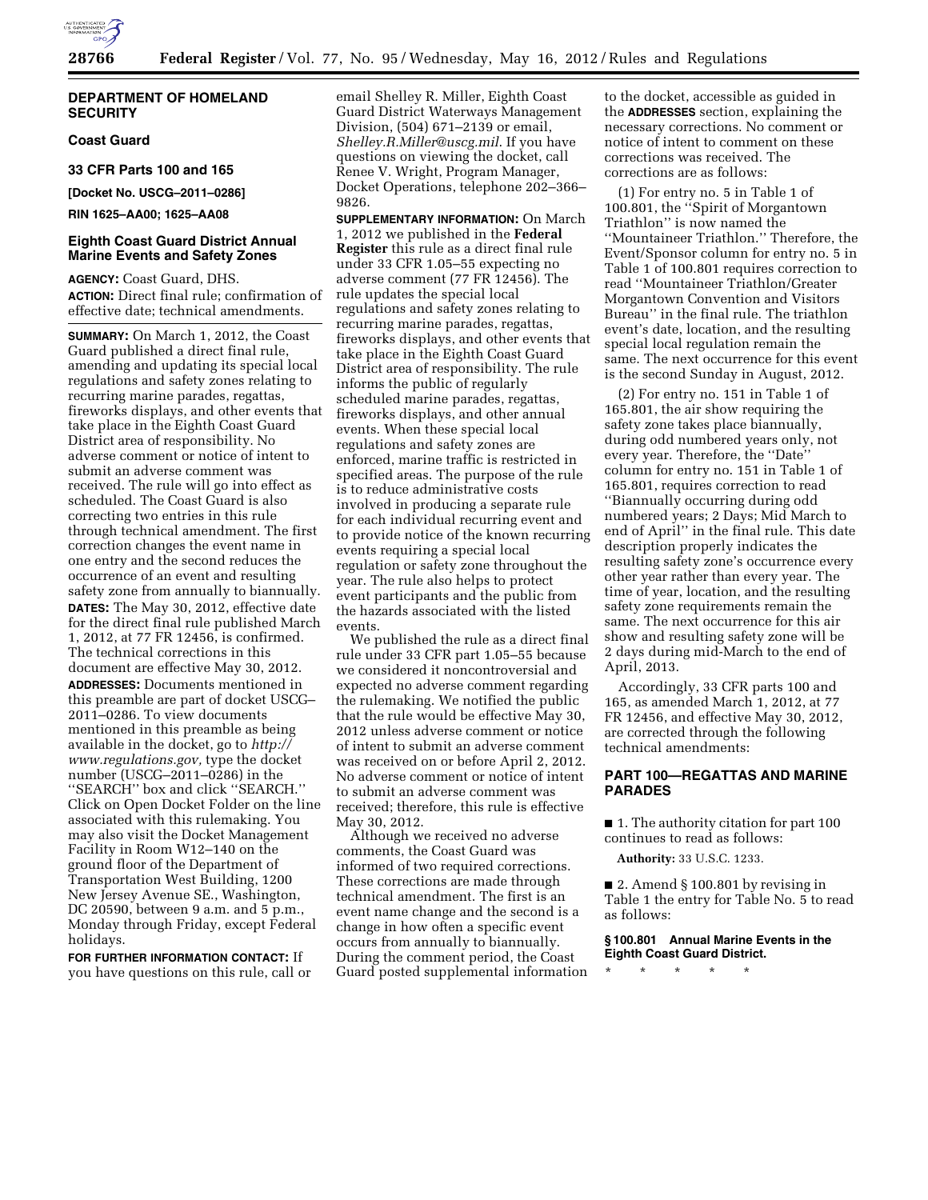

### **DEPARTMENT OF HOMELAND SECURITY**

# **Coast Guard**

**33 CFR Parts 100 and 165** 

**[Docket No. USCG–2011–0286]** 

**RIN 1625–AA00; 1625–AA08** 

## **Eighth Coast Guard District Annual Marine Events and Safety Zones**

**AGENCY:** Coast Guard, DHS. **ACTION:** Direct final rule; confirmation of effective date; technical amendments.

**SUMMARY:** On March 1, 2012, the Coast Guard published a direct final rule, amending and updating its special local regulations and safety zones relating to recurring marine parades, regattas, fireworks displays, and other events that take place in the Eighth Coast Guard District area of responsibility. No adverse comment or notice of intent to submit an adverse comment was received. The rule will go into effect as scheduled. The Coast Guard is also correcting two entries in this rule through technical amendment. The first correction changes the event name in one entry and the second reduces the occurrence of an event and resulting safety zone from annually to biannually. **DATES:** The May 30, 2012, effective date for the direct final rule published March 1, 2012, at 77 FR 12456, is confirmed. The technical corrections in this document are effective May 30, 2012. **ADDRESSES:** Documents mentioned in this preamble are part of docket USCG– 2011–0286. To view documents mentioned in this preamble as being available in the docket, go to *[http://](http://www.regulations.gov) [www.regulations.gov,](http://www.regulations.gov)* type the docket number (USCG–2011–0286) in the ''SEARCH'' box and click ''SEARCH.'' Click on Open Docket Folder on the line associated with this rulemaking. You may also visit the Docket Management Facility in Room W12–140 on the ground floor of the Department of Transportation West Building, 1200 New Jersey Avenue SE., Washington, DC 20590, between 9 a.m. and 5 p.m., Monday through Friday, except Federal holidays.

**FOR FURTHER INFORMATION CONTACT:** If you have questions on this rule, call or email Shelley R. Miller, Eighth Coast Guard District Waterways Management Division, (504) 671–2139 or email, *[Shelley.R.Miller@uscg.mil](mailto:Shelley.R.Miller@uscg.mil)*. If you have questions on viewing the docket, call Renee V. Wright, Program Manager, Docket Operations, telephone 202–366– 9826.

**SUPPLEMENTARY INFORMATION:** On March 1, 2012 we published in the **Federal Register** this rule as a direct final rule under 33 CFR 1.05–55 expecting no adverse comment (77 FR 12456). The rule updates the special local regulations and safety zones relating to recurring marine parades, regattas, fireworks displays, and other events that take place in the Eighth Coast Guard District area of responsibility. The rule informs the public of regularly scheduled marine parades, regattas, fireworks displays, and other annual events. When these special local regulations and safety zones are enforced, marine traffic is restricted in specified areas. The purpose of the rule is to reduce administrative costs involved in producing a separate rule for each individual recurring event and to provide notice of the known recurring events requiring a special local regulation or safety zone throughout the year. The rule also helps to protect event participants and the public from the hazards associated with the listed events.

We published the rule as a direct final rule under 33 CFR part 1.05–55 because we considered it noncontroversial and expected no adverse comment regarding the rulemaking. We notified the public that the rule would be effective May 30, 2012 unless adverse comment or notice of intent to submit an adverse comment was received on or before April 2, 2012. No adverse comment or notice of intent to submit an adverse comment was received; therefore, this rule is effective May 30, 2012.

Although we received no adverse comments, the Coast Guard was informed of two required corrections. These corrections are made through technical amendment. The first is an event name change and the second is a change in how often a specific event occurs from annually to biannually. During the comment period, the Coast Guard posted supplemental information to the docket, accessible as guided in the **ADDRESSES** section, explaining the necessary corrections. No comment or notice of intent to comment on these corrections was received. The corrections are as follows:

(1) For entry no. 5 in Table 1 of 100.801, the ''Spirit of Morgantown Triathlon'' is now named the ''Mountaineer Triathlon.'' Therefore, the Event/Sponsor column for entry no. 5 in Table 1 of 100.801 requires correction to read ''Mountaineer Triathlon/Greater Morgantown Convention and Visitors Bureau'' in the final rule. The triathlon event's date, location, and the resulting special local regulation remain the same. The next occurrence for this event is the second Sunday in August, 2012.

(2) For entry no. 151 in Table 1 of 165.801, the air show requiring the safety zone takes place biannually, during odd numbered years only, not every year. Therefore, the ''Date'' column for entry no. 151 in Table 1 of 165.801, requires correction to read ''Biannually occurring during odd numbered years; 2 Days; Mid March to end of April'' in the final rule. This date description properly indicates the resulting safety zone's occurrence every other year rather than every year. The time of year, location, and the resulting safety zone requirements remain the same. The next occurrence for this air show and resulting safety zone will be 2 days during mid-March to the end of April, 2013.

Accordingly, 33 CFR parts 100 and 165, as amended March 1, 2012, at 77 FR 12456, and effective May 30, 2012, are corrected through the following technical amendments:

## **PART 100—REGATTAS AND MARINE PARADES**

■ 1. The authority citation for part 100 continues to read as follows:

**Authority:** 33 U.S.C. 1233.

■ 2. Amend § 100.801 by revising in Table 1 the entry for Table No. 5 to read as follows:

#### **§ 100.801 Annual Marine Events in the Eighth Coast Guard District.**

\* \* \* \* \*